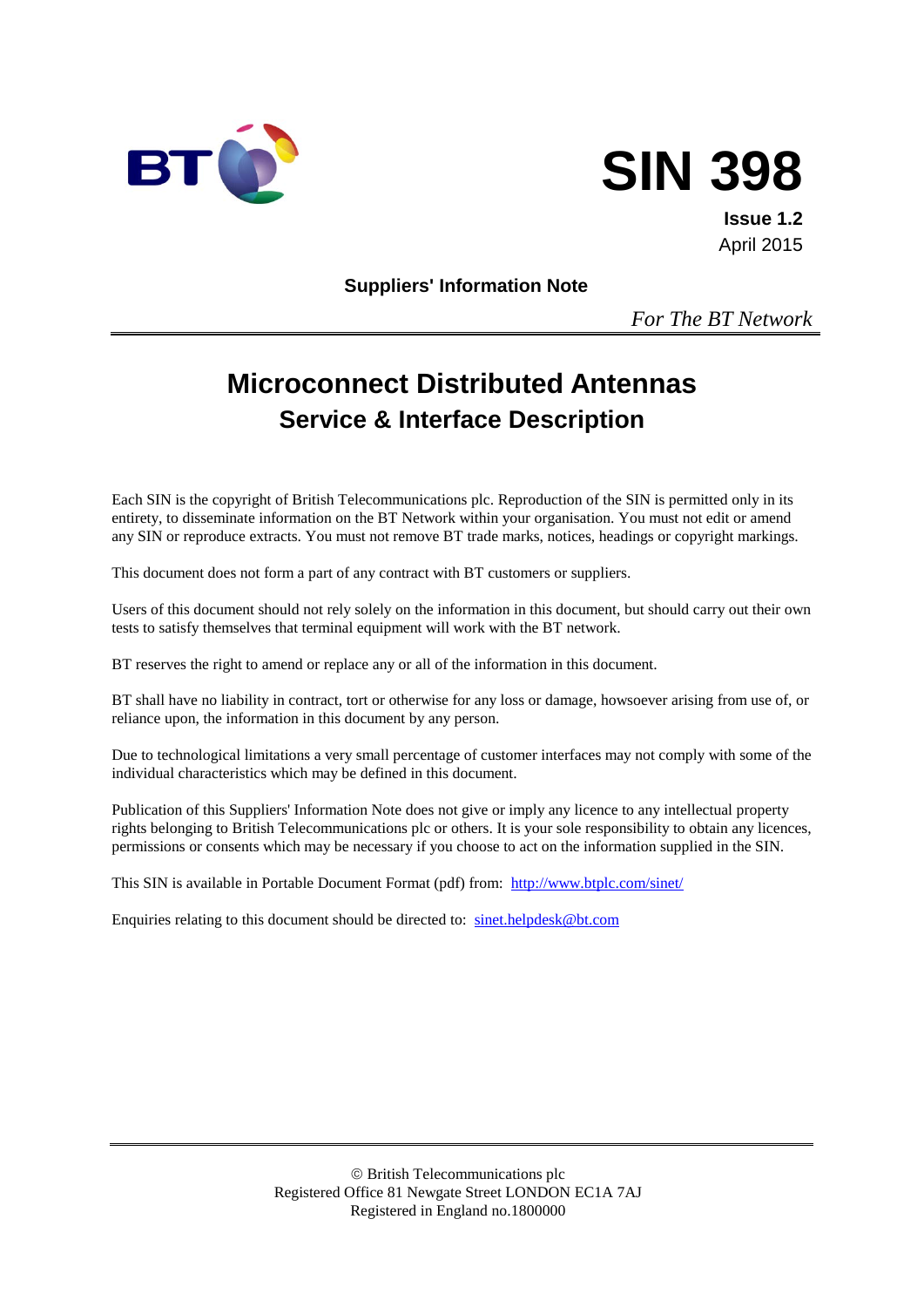



**Issue 1.2** April 2015

**Suppliers' Information Note**

*For The BT Network*

# **Microconnect Distributed Antennas Service & Interface Description**

Each SIN is the copyright of British Telecommunications plc. Reproduction of the SIN is permitted only in its entirety, to disseminate information on the BT Network within your organisation. You must not edit or amend any SIN or reproduce extracts. You must not remove BT trade marks, notices, headings or copyright markings.

This document does not form a part of any contract with BT customers or suppliers.

Users of this document should not rely solely on the information in this document, but should carry out their own tests to satisfy themselves that terminal equipment will work with the BT network.

BT reserves the right to amend or replace any or all of the information in this document.

BT shall have no liability in contract, tort or otherwise for any loss or damage, howsoever arising from use of, or reliance upon, the information in this document by any person.

Due to technological limitations a very small percentage of customer interfaces may not comply with some of the individual characteristics which may be defined in this document.

Publication of this Suppliers' Information Note does not give or imply any licence to any intellectual property rights belonging to British Telecommunications plc or others. It is your sole responsibility to obtain any licences, permissions or consents which may be necessary if you choose to act on the information supplied in the SIN.

This SIN is available in Portable Document Format (pdf) from: <http://www.btplc.com/sinet/>

Enquiries relating to this document should be directed to: [sinet.helpdesk@bt.com](mailto:sinet.helpdesk@bt.com)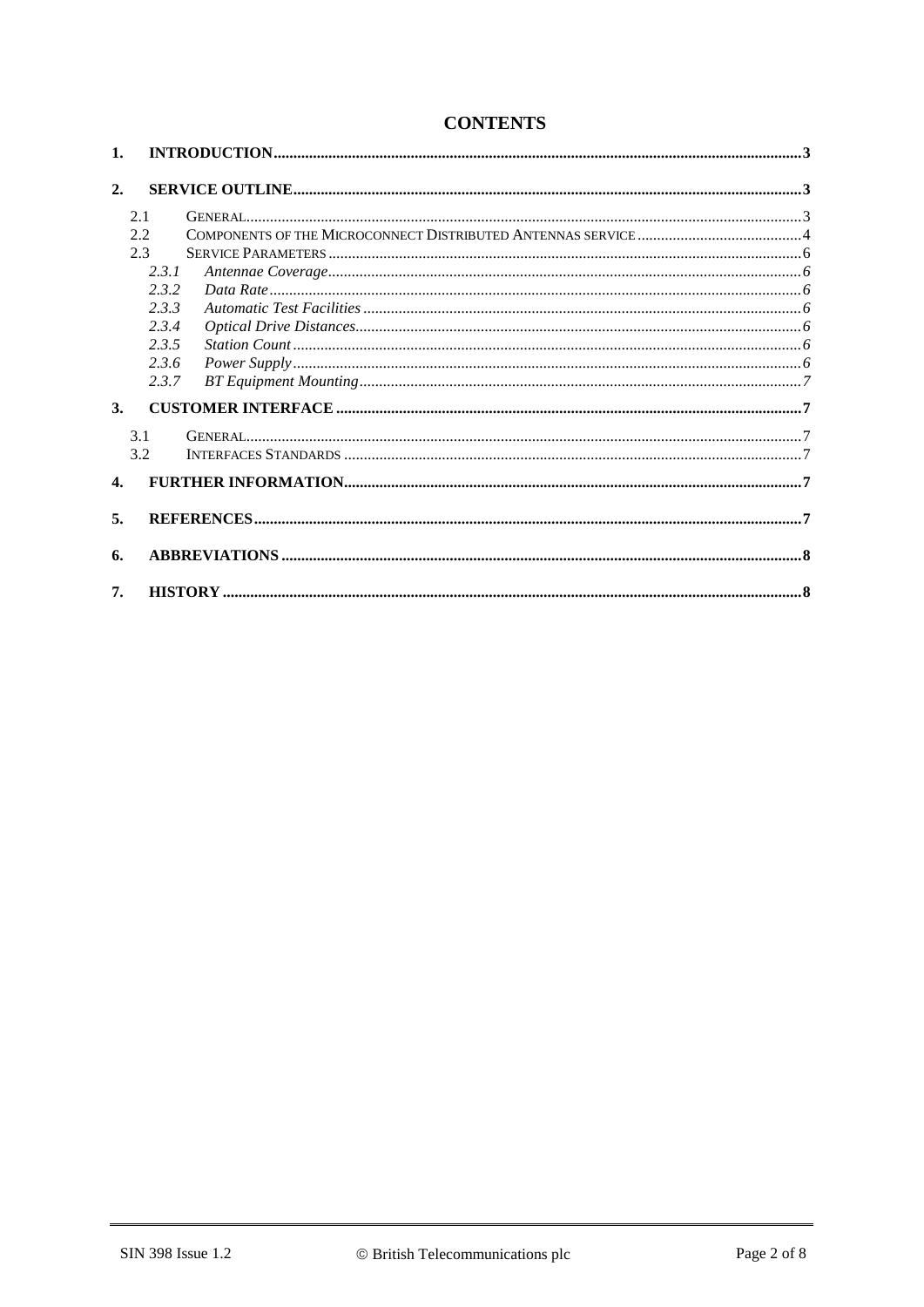| 1.               |       |  |  |  |
|------------------|-------|--|--|--|
| 2.               |       |  |  |  |
|                  | 2.1   |  |  |  |
|                  | 2.2   |  |  |  |
|                  | 2.3   |  |  |  |
|                  | 2.3.1 |  |  |  |
|                  | 2.3.2 |  |  |  |
|                  | 2.3.3 |  |  |  |
|                  | 2.3.4 |  |  |  |
|                  | 2.3.5 |  |  |  |
|                  | 2.3.6 |  |  |  |
|                  | 2.3.7 |  |  |  |
| 3.               |       |  |  |  |
|                  | 3.1   |  |  |  |
|                  | 3.2   |  |  |  |
| $\overline{4}$ . |       |  |  |  |
| 5.               |       |  |  |  |
| 6.               |       |  |  |  |
| 7.               |       |  |  |  |

## **CONTENTS**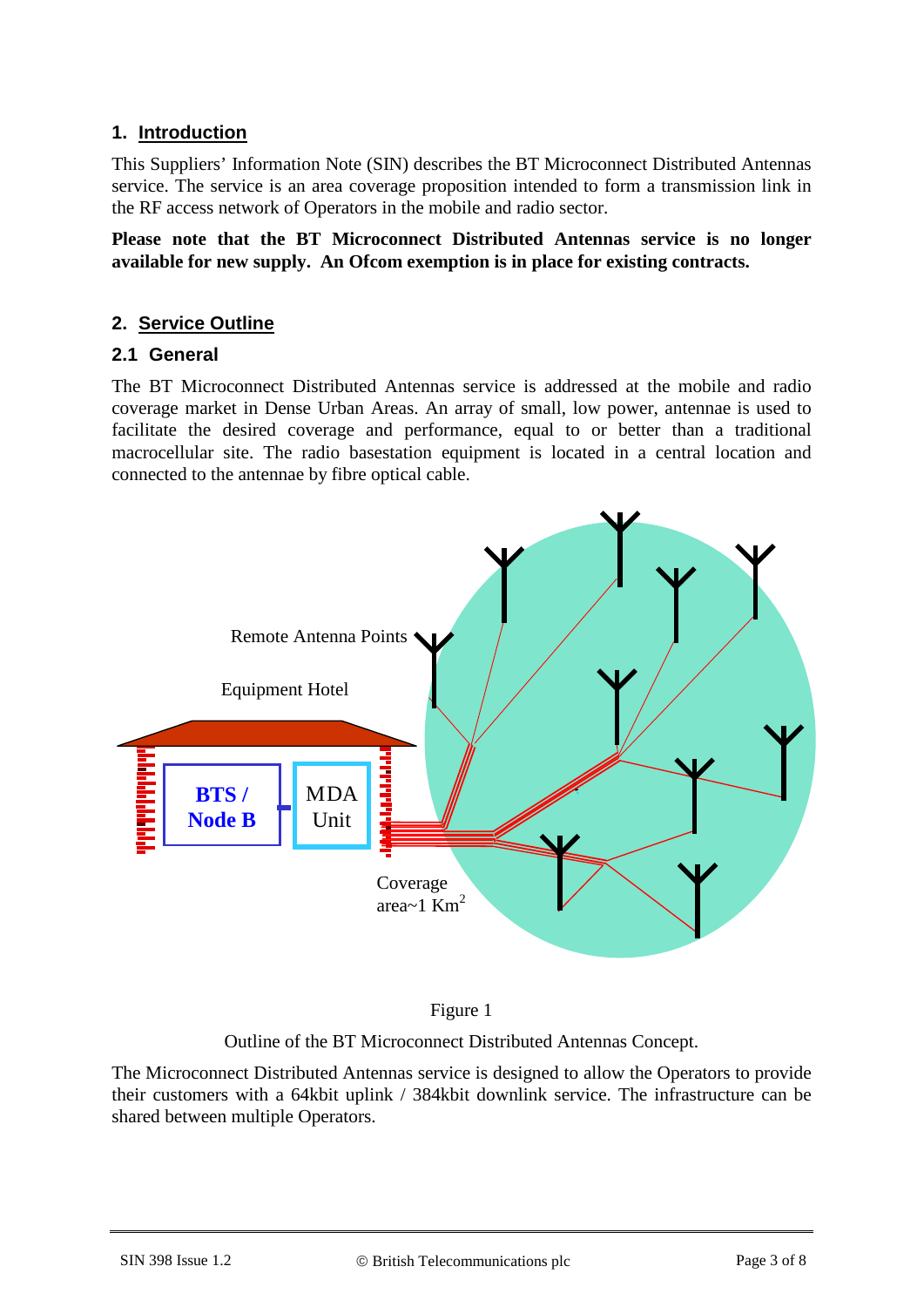### **1. Introduction**

This Suppliers' Information Note (SIN) describes the BT Microconnect Distributed Antennas service. The service is an area coverage proposition intended to form a transmission link in the RF access network of Operators in the mobile and radio sector.

**Please note that the BT Microconnect Distributed Antennas service is no longer available for new supply. An Ofcom exemption is in place for existing contracts.**

### **2. Service Outline**

### **2.1 General**

The BT Microconnect Distributed Antennas service is addressed at the mobile and radio coverage market in Dense Urban Areas. An array of small, low power, antennae is used to facilitate the desired coverage and performance, equal to or better than a traditional macrocellular site. The radio basestation equipment is located in a central location and connected to the antennae by fibre optical cable.





Outline of the BT Microconnect Distributed Antennas Concept.

The Microconnect Distributed Antennas service is designed to allow the Operators to provide their customers with a 64kbit uplink / 384kbit downlink service. The infrastructure can be shared between multiple Operators.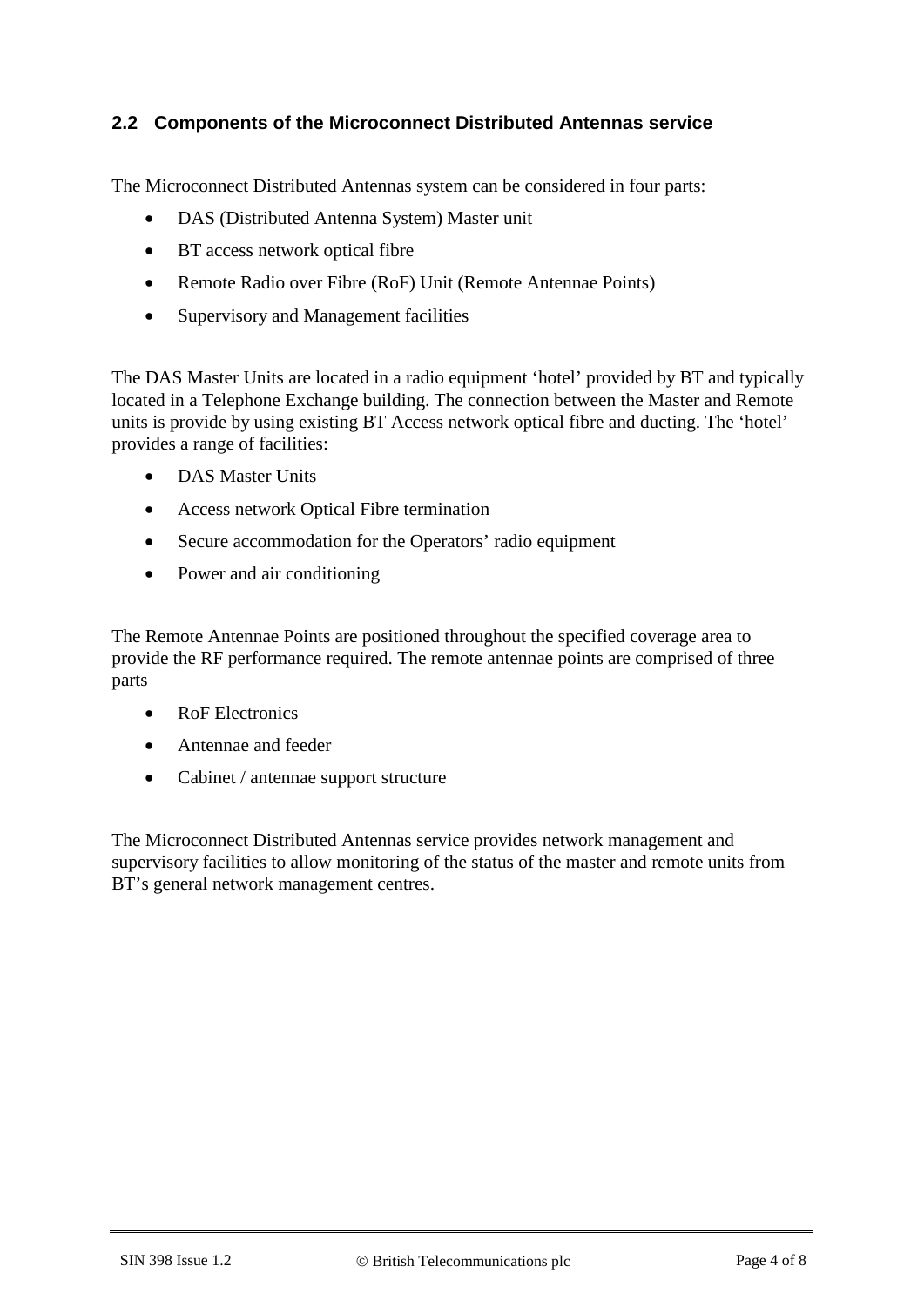### **2.2 Components of the Microconnect Distributed Antennas service**

The Microconnect Distributed Antennas system can be considered in four parts:

- DAS (Distributed Antenna System) Master unit
- BT access network optical fibre
- Remote Radio over Fibre (RoF) Unit (Remote Antennae Points)
- Supervisory and Management facilities

The DAS Master Units are located in a radio equipment 'hotel' provided by BT and typically located in a Telephone Exchange building. The connection between the Master and Remote units is provide by using existing BT Access network optical fibre and ducting. The 'hotel' provides a range of facilities:

- DAS Master Units
- Access network Optical Fibre termination
- Secure accommodation for the Operators' radio equipment
- Power and air conditioning

The Remote Antennae Points are positioned throughout the specified coverage area to provide the RF performance required. The remote antennae points are comprised of three parts

- RoF Electronics
- Antennae and feeder
- Cabinet / antennae support structure

The Microconnect Distributed Antennas service provides network management and supervisory facilities to allow monitoring of the status of the master and remote units from BT's general network management centres.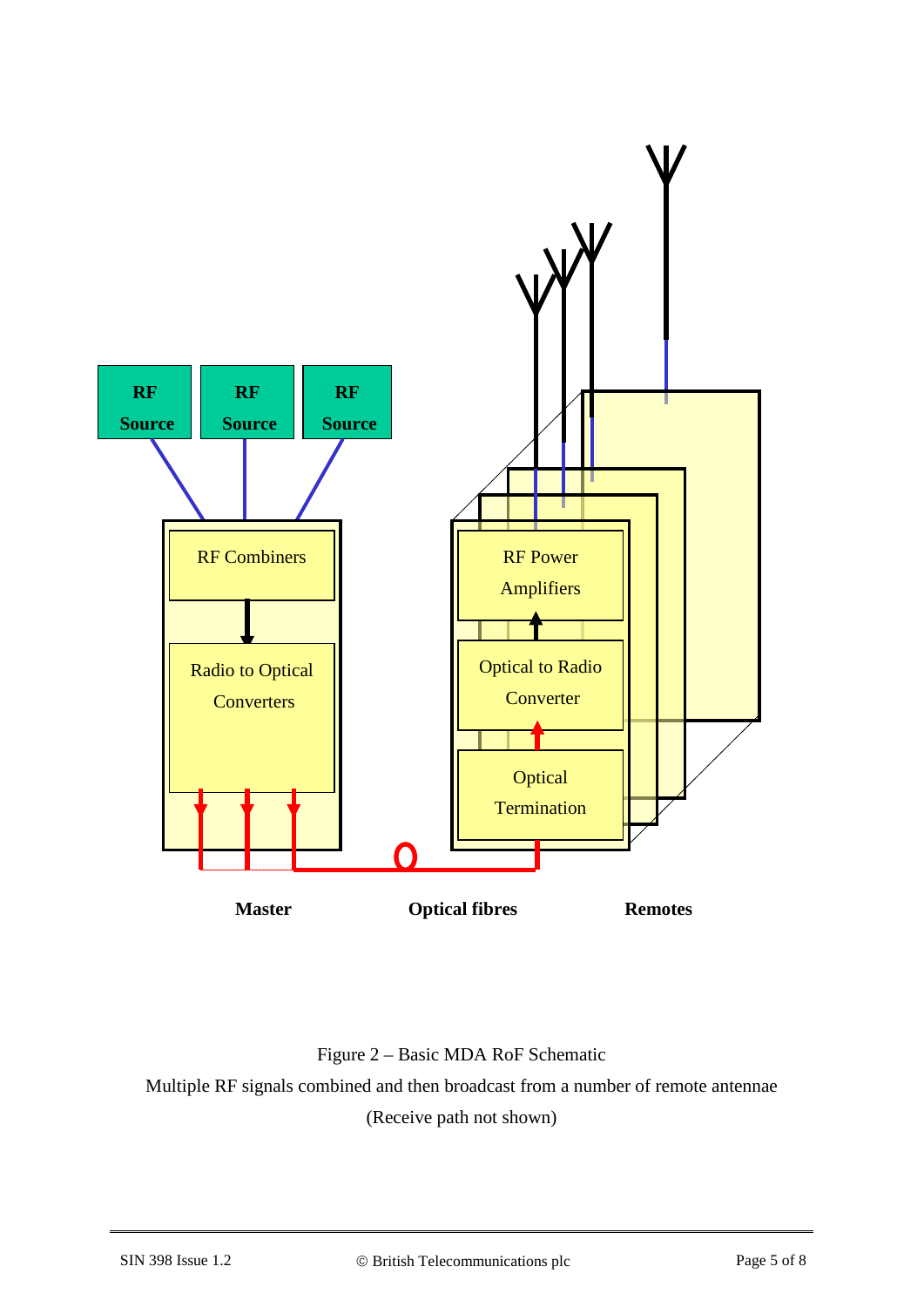

### Figure 2 – Basic MDA RoF Schematic

Multiple RF signals combined and then broadcast from a number of remote antennae (Receive path not shown)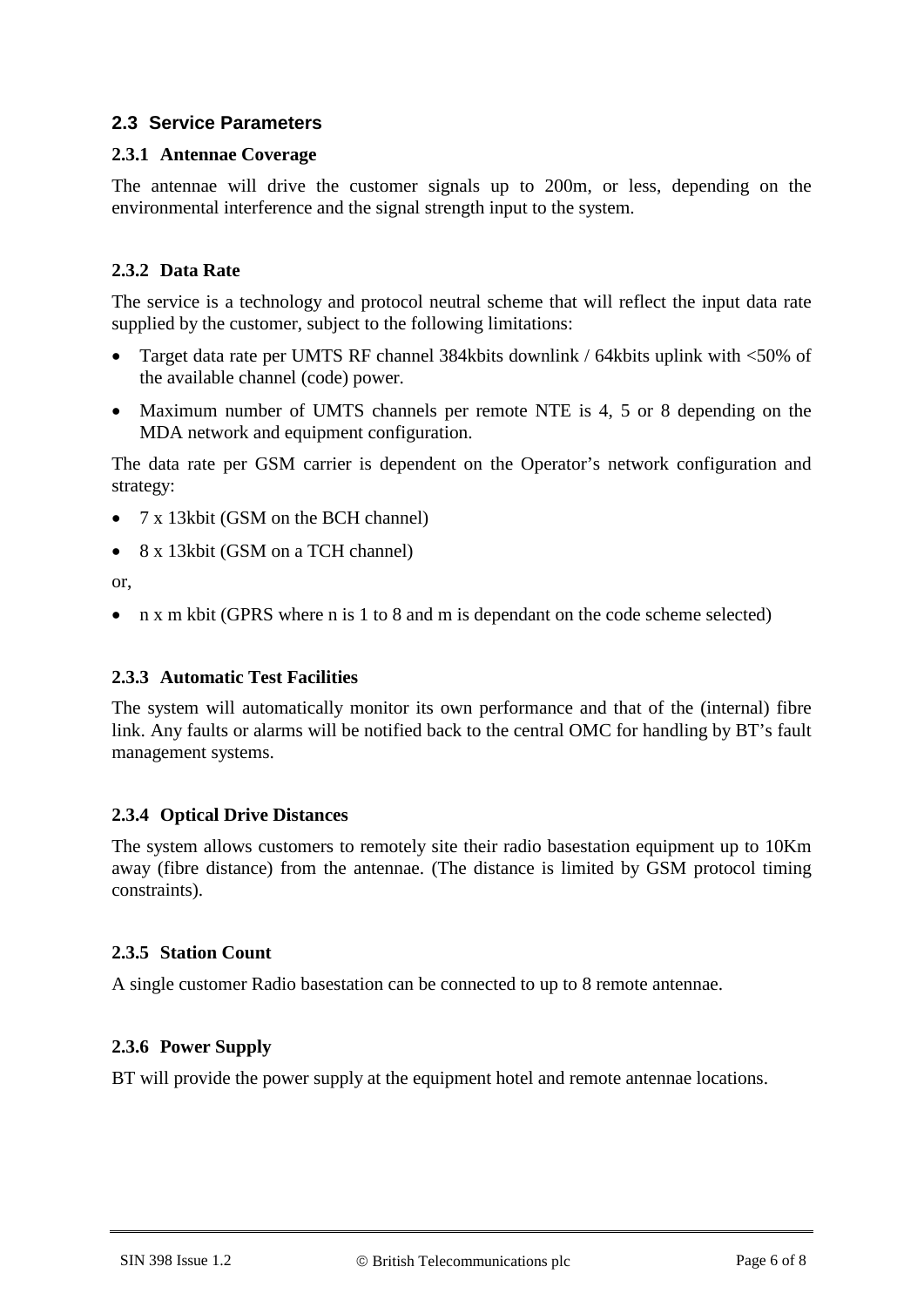### **2.3 Service Parameters**

#### **2.3.1 Antennae Coverage**

The antennae will drive the customer signals up to 200m, or less, depending on the environmental interference and the signal strength input to the system.

#### **2.3.2 Data Rate**

The service is a technology and protocol neutral scheme that will reflect the input data rate supplied by the customer, subject to the following limitations:

- Target data rate per UMTS RF channel 384kbits downlink / 64kbits uplink with <50% of the available channel (code) power.
- Maximum number of UMTS channels per remote NTE is 4, 5 or 8 depending on the MDA network and equipment configuration.

The data rate per GSM carrier is dependent on the Operator's network configuration and strategy:

- 7 x 13kbit (GSM on the BCH channel)
- 8 x 13kbit (GSM on a TCH channel)

or,

• n x m kbit (GPRS where n is 1 to 8 and m is dependant on the code scheme selected)

#### **2.3.3 Automatic Test Facilities**

The system will automatically monitor its own performance and that of the (internal) fibre link. Any faults or alarms will be notified back to the central OMC for handling by BT's fault management systems.

#### **2.3.4 Optical Drive Distances**

The system allows customers to remotely site their radio basestation equipment up to 10Km away (fibre distance) from the antennae. (The distance is limited by GSM protocol timing constraints).

#### **2.3.5 Station Count**

A single customer Radio basestation can be connected to up to 8 remote antennae.

#### **2.3.6 Power Supply**

BT will provide the power supply at the equipment hotel and remote antennae locations.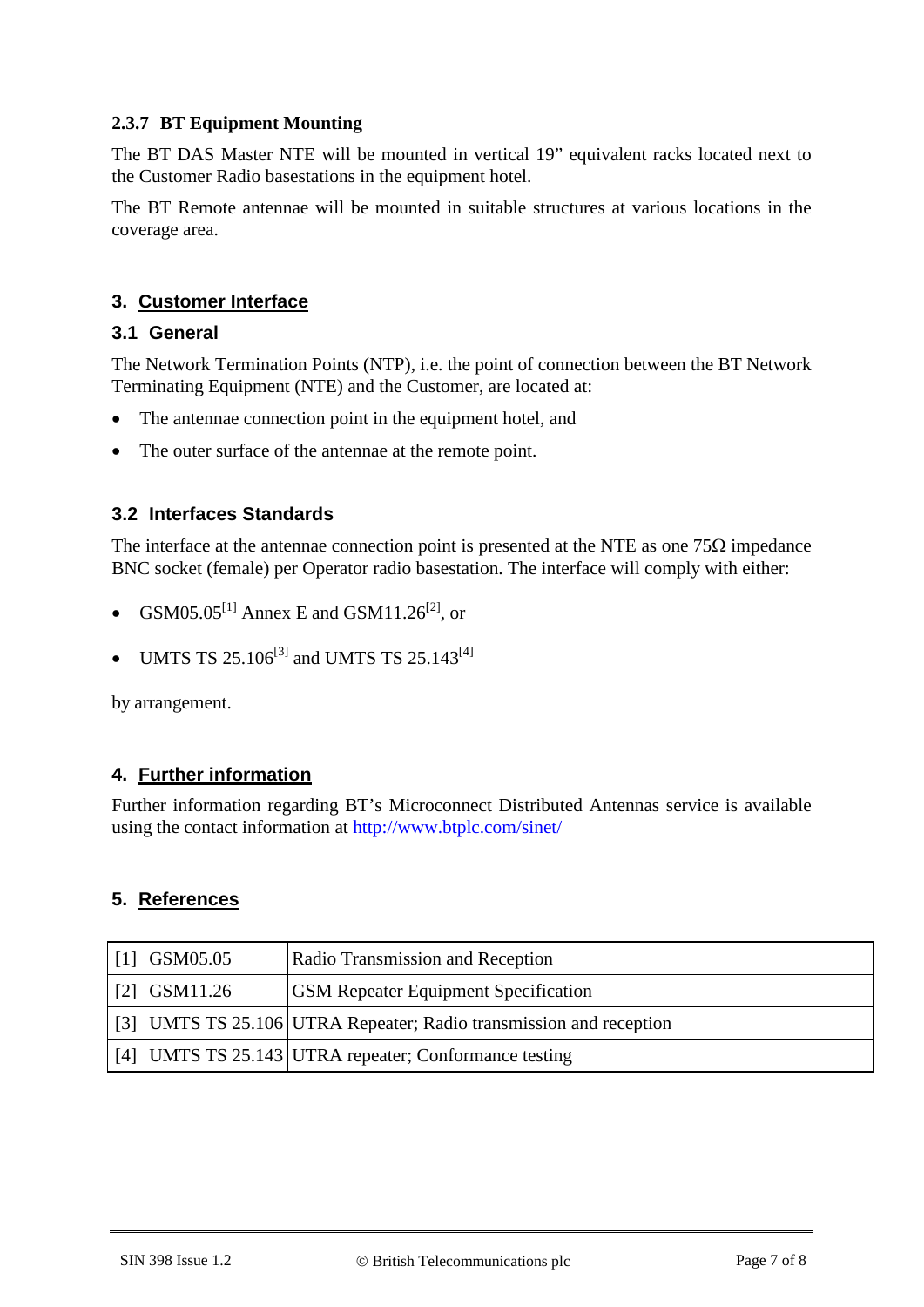### **2.3.7 BT Equipment Mounting**

The BT DAS Master NTE will be mounted in vertical 19" equivalent racks located next to the Customer Radio basestations in the equipment hotel.

The BT Remote antennae will be mounted in suitable structures at various locations in the coverage area.

### **3. Customer Interface**

### **3.1 General**

The Network Termination Points (NTP), i.e. the point of connection between the BT Network Terminating Equipment (NTE) and the Customer, are located at:

- The antennae connection point in the equipment hotel, and
- The outer surface of the antennae at the remote point.

### **3.2 Interfaces Standards**

The interface at the antennae connection point is presented at the NTE as one  $75\Omega$  impedance BNC socket (female) per Operator radio basestation. The interface will comply with either:

- $\text{GSM05.05}^{[1]}$  Annex E and  $\text{GSM11.26}^{[2]}$ , or
- UMTS TS 25.106<sup>[3]</sup> and UMTS TS 25.143<sup>[4]</sup>

by arrangement.

### **4. Further information**

Further information regarding BT's Microconnect Distributed Antennas service is available using the contact information at <http://www.btplc.com/sinet/>

#### **5. References**

<span id="page-6-3"></span><span id="page-6-2"></span><span id="page-6-1"></span><span id="page-6-0"></span>

| $\mid$ [1] GSM05.05 | <b>Radio Transmission and Reception</b>                            |
|---------------------|--------------------------------------------------------------------|
| $\mid$ [2] GSM11.26 | <b>GSM Repeater Equipment Specification</b>                        |
|                     | [3] UMTS TS 25.106 UTRA Repeater; Radio transmission and reception |
|                     | [4] UMTS TS 25.143 UTRA repeater; Conformance testing              |